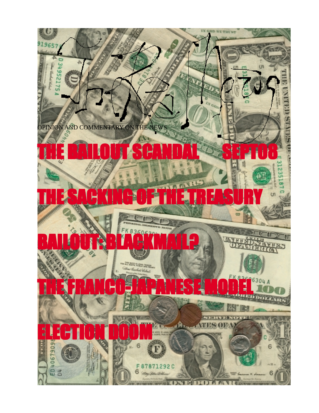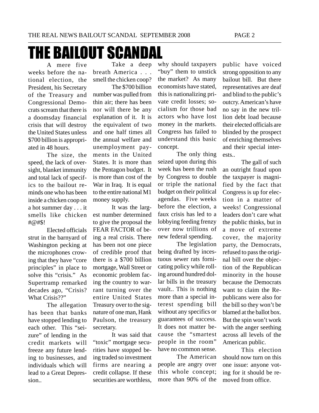## **THE BAILOUT SCANDA**

A mere five weeks before the national election, the President, his Secretary of the Treasury and Congressional Democrats scream that there is a doomsday financial crisis that will destroy the United States unless \$700 billion is appropriated in 48 hours.

The size, the speed, the lack of oversight, blanket immunity and total lack of specifics to the bailout reminds one who has been inside a chicken coop on a hot summer day . . . it smells like chicken #@#\$!

Elected officials strut in the barnyard of Washington pecking at the microphones crowing that they have "core principles" in place to solve this "crisis." As Supertramp remarked decades ago, "Crisis? What Crisis??"

The allegation has been that banks have stopped lending to each other. This "seizure" of lending in the credit markets will freeze any future lending to businesses, and individuals which will lead to a Great Depression..

Take a deep breath America . . . smell the chicken coop?

The \$700 billion number was pulled from thin air; there has been nor will there be any explanation of it. It is the equivalent of two and one half times all the annual welfare and unemployment payments in the United States. It is more than the Pentagon budget. It is more than cost of the War in Iraq. It is equal to the entire national M1 money supply.

It was the largest number determined to give the proposal the FEAR FACTOR of being a real crisis. There has been not one piece of credible proof that there is a \$700 billion mortgage, Wall Street or economic problem facing the country to warrant turning over the entire United States Treasury over to the signature of one man, Hank Paulson, the treasury secretary.

It was said that "toxic" mortgage securities have stopped being traded so investment firms are nearing a credit collapse. If these securities are worthless,

why should taxpayers "buy" them to unstick the market? As many economists have stated, this is nationalizing private credit losses; socialism for those bad actors who have lost money in the markets. Congress has failed to understand this basic concept.

The only thing seized upon during this week has been the rush by Congress to double or triple the national budget on their political agendas. Five weeks before the election, a faux crisis has led to a lobbying feeding frenzy over now trillions of new federal spending.

The legislation being drafted by incestuous sewer rats fornicating policy while rolling around hundred dollar bills in the treasury vault.. This is nothing more than a special interest spending bill without any specifics or guarantees of success. It does not matter because the "smartest people in the room" have no common sense.

The American people are angry over this whole concept; more than 90% of the public have voiced strong opposition to any bailout bill. But there representatives are deaf and blind to the public's outcry. American's have no say in the new trillion debt load because their elected officials are blinded by the prospect of enriching themselves and their special interests..

The gall of such an outright fraud upon the taxpayer is magnified by the fact that Congress is up for election in a matter of weeks! Congressional leaders don't care what the public thinks, but in a move of extreme cover, the majority party, the Democrats, refused to pass the original bill over the objection of the Republican minority in the house because the Democrats want to claim the Republicans were also for the bill so they won't be blamed at the ballot box. But the spin won't work with the anger seething across all levels of the American public.

This election should now turn on this one issue: anyone voting for it should be removed from office.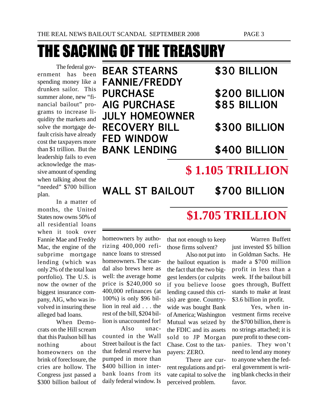# THE SACKING OF THE TREASURY

The federal government has been spending money like a drunken sailor. This summer alone, new "financial bailout" programs to increase liquidity the markets and solve the mortgage default crisis have already cost the taxpayers more than \$1 trillion. But the leadership fails to even acknowledge the massive amount of spending when talking about the "needed" \$700 billion plan.

In a matter of months, the United States now owns 50% of all residential loans when it took over Fannie Mae and Freddy Mac, the engine of the subprime mortgage lending (which was only 2% of the total loan portfolio). The U.S. is now the owner of the biggest insurance company, AIG, who was involved in insuring these alleged bad loans.

When Democrats on the Hill scream that this Paulson bill has nothing about homeowners on the brink of foreclosure, the cries are hollow. The Congress just passed a \$300 billion bailout of

| <b>BEAR STEARNS</b>   |
|-----------------------|
| <b>FANNIE/FREDDY</b>  |
| <b>PURCHASE</b>       |
| <b>AIG PURCHASE</b>   |
| <b>JULY HOMEOWNER</b> |
| <b>RECOVERY BILL</b>  |
| <b>FED WINDOW</b>     |
| <b>BANK LENDING</b>   |
|                       |

## \$30 BILLION

\$200 BILLION \$85 BILLION

### \$300 BILLION

\$400 BILLION

## **\$ 1.105 TRILLION**

WALL ST BAILOUT \$700 BILLION

## **\$1.705 TRILLION**

homeowners by authorizing 400,000 refinance loans to stressed homeowners. The scandal also brews here as well: the average home price is \$240,000 so 400,000 refinances (at 100%) is only \$96 billion in real aid . . . the rest of the bill, \$204 billion is unaccounted for!

Also unaccounted in the Wall Street bailout is the fact that federal reserve has pumped in more than \$400 billion in interbank loans from its daily federal window. Is

that not enough to keep those firms solvent?

Also not put into the bailout equation is the fact that the two biggest lenders (or culprits if you believe loose lending caused this crisis) are gone. Countrywide was bought Bank of America; Washington Mutual was seized by the FDIC and its assets sold to JP Morgan Chase. Cost to the taxpayers: ZERO.

There are current regulations and private capital to solve the perceived problem.

Warren Buffett just invested \$5 billion in Goldman Sachs. He made a \$700 million profit in less than a week. If the bailout bill goes through, Buffett stands to make at least \$3.6 billion in profit.

Yes, when investment firms receive the \$700 billion, there is no strings attached; it is pure profit to these companies. They won't need to lend any money to anyone when the federal government is writing blank checks in their favor.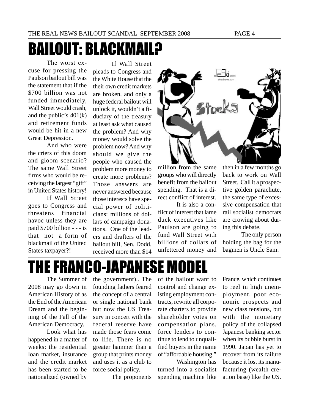# BAILOUT: BLACKMAIL?

The worst excuse for pressing the Paulson bailout bill was the statement that if the \$700 billion was not funded immediately, Wall Street would crash, and the public's 401(k) and retirement funds would be hit in a new Great Depression.

And who were the criers of this doom and gloom scenario? The same Wall Street firms who would be receiving the largest "gift" in United States history!

If Wall Street goes to Congress and threatens financial havoc unless they are paid \$700 billion - - - is that not a form of blackmail of the United States taxpayer?!

If Wall Street pleads to Congress and the White House that the their own credit markets are broken, and only a huge federal bailout will unlock it, wouldn't a fiduciary of the treasury at least ask what caused the problem? And why money would solve the problem now? And why should we give the people who caused the problem more money to create more problems? Those answers are never answered because those interests have special power of politicians: millions of dollars of campaign donations. One of the leaders and drafters of the bailout bill, Sen. Dodd, received more than \$14



million from the same groups who will directly benefit from the bailout spending. That is a direct conflict of interest.

It is also a conflict of interest that lame duck executives like Paulson are going to fund Wall Street with billions of dollars of unfettered money and then in a few months go back to work on Wall Street. Call it a prospective golden parachute, the same type of excessive compensation that rail socialist democrats are crowing about during this debate.

The only person holding the bag for the bagmen is Uncle Sam.

# THE FRANCO-JAPANESE MODEL

The Summer of 2008 may go down in American History of as the End of the American Dream and the beginning of the Fall of the American Democracy.

Look what has happened in a matter of weeks: the residential loan market, insurance and the credit market has been started to be nationalized (owned by

the government).. The founding fathers feared the concept of a central or single national bank but now the US Treasury in concert with the federal reserve have made those fears come to life. There is no greater hammer than a group that prints money and uses it as a club to force social policy.

The proponents

of the bailout want to control and change existing employment contracts, rewrite all corporate charters to provide shareholder votes on compensation plans, force lenders to continue to lend to unqualified buyers in the name of "affordable housing."

Washington has turned into a socialist spending machine like France, which continues to reel in high unemployment, poor economic prospects and new class tensions, but with the monetary policy of the collapsed Japanese banking sector when its bubble burst in 1990. Japan has yet to recover from its failure because it lost its manufacturing (wealth creation base) like the US.